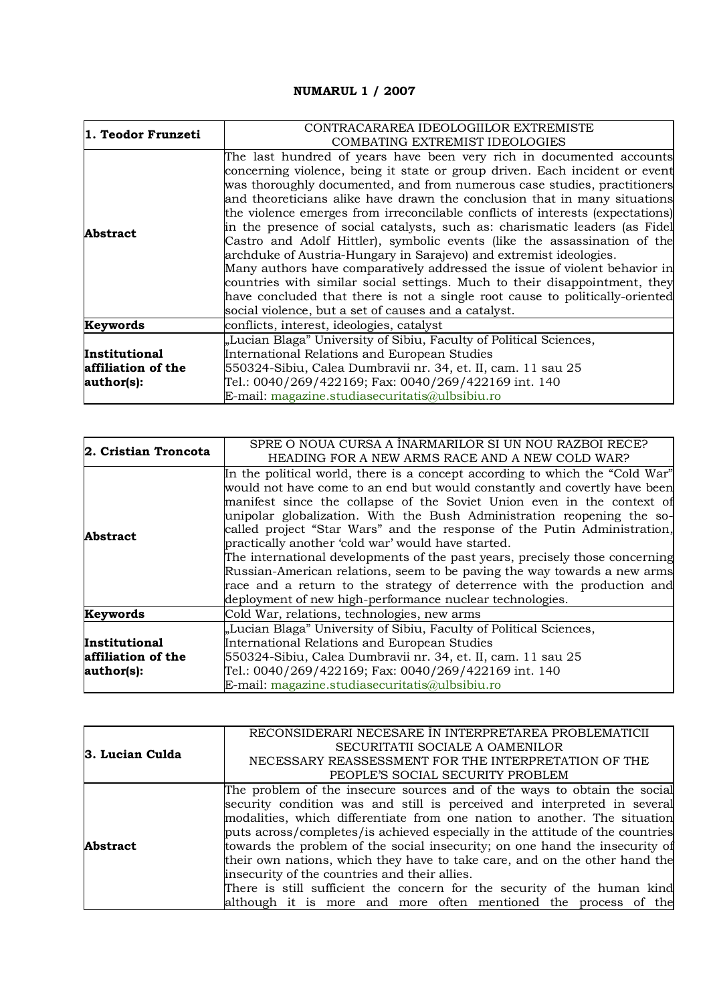## **NUMARUL 1 / 2007**

| 1. Teodor Frunzeti | CONTRACARAREA IDEOLOGIILOR EXTREMISTE                                          |
|--------------------|--------------------------------------------------------------------------------|
|                    | COMBATING EXTREMIST IDEOLOGIES                                                 |
| <b>Abstract</b>    | The last hundred of years have been very rich in documented accounts           |
|                    | concerning violence, being it state or group driven. Each incident or event    |
|                    | was thoroughly documented, and from numerous case studies, practitioners       |
|                    | and theoreticians alike have drawn the conclusion that in many situations      |
|                    | the violence emerges from irreconcilable conflicts of interests (expectations) |
|                    | in the presence of social catalysts, such as: charismatic leaders (as Fidel    |
|                    | Castro and Adolf Hittler), symbolic events (like the assassination of the      |
|                    | archduke of Austria-Hungary in Sarajevo) and extremist ideologies.             |
|                    | Many authors have comparatively addressed the issue of violent behavior in     |
|                    | countries with similar social settings. Much to their disappointment, they     |
|                    | have concluded that there is not a single root cause to politically-oriented   |
|                    | social violence, but a set of causes and a catalyst.                           |
| Keywords           | conflicts, interest, ideologies, catalyst                                      |
|                    | "Lucian Blaga" University of Sibiu, Faculty of Political Sciences,             |
| Institutional      | International Relations and European Studies                                   |
| affiliation of the | 550324-Sibiu, Calea Dumbravii nr. 34, et. II, cam. 11 sau 25                   |
| author(s):         | Tel.: 0040/269/422169; Fax: 0040/269/422169 int. 140                           |
|                    | E-mail: magazine.studiasecuritatis@ulbsibiu.ro                                 |

| 2. Cristian Troncota | SPRE O NOUA CURSA A ÎNARMARILOR SI UN NOU RAZBOI RECE?                                                                                                                                                                                                                                                                                                                                                                                                                                                                                                                                                                                                                                                                                                                                                |
|----------------------|-------------------------------------------------------------------------------------------------------------------------------------------------------------------------------------------------------------------------------------------------------------------------------------------------------------------------------------------------------------------------------------------------------------------------------------------------------------------------------------------------------------------------------------------------------------------------------------------------------------------------------------------------------------------------------------------------------------------------------------------------------------------------------------------------------|
| Abstract             | HEADING FOR A NEW ARMS RACE AND A NEW COLD WAR?<br>In the political world, there is a concept according to which the "Cold War"<br>would not have come to an end but would constantly and covertly have been<br>manifest since the collapse of the Soviet Union even in the context of<br>unipolar globalization. With the Bush Administration reopening the so-<br>called project "Star Wars" and the response of the Putin Administration,<br>practically another 'cold war' would have started.<br>The international developments of the past years, precisely those concerning<br>Russian-American relations, seem to be paving the way towards a new arms<br>race and a return to the strategy of deterrence with the production and<br>deployment of new high-performance nuclear technologies. |
| Keywords             | Cold War, relations, technologies, new arms                                                                                                                                                                                                                                                                                                                                                                                                                                                                                                                                                                                                                                                                                                                                                           |
|                      | "Lucian Blaga" University of Sibiu, Faculty of Political Sciences,                                                                                                                                                                                                                                                                                                                                                                                                                                                                                                                                                                                                                                                                                                                                    |
| Institutional        | International Relations and European Studies                                                                                                                                                                                                                                                                                                                                                                                                                                                                                                                                                                                                                                                                                                                                                          |
| affiliation of the   | 550324-Sibiu, Calea Dumbravii nr. 34, et. II, cam. 11 sau 25                                                                                                                                                                                                                                                                                                                                                                                                                                                                                                                                                                                                                                                                                                                                          |
| author(s):           | Tel.: 0040/269/422169; Fax: 0040/269/422169 int. 140                                                                                                                                                                                                                                                                                                                                                                                                                                                                                                                                                                                                                                                                                                                                                  |
|                      | $E$ -mail: magazine.studiasecuritatis@ulbsibiu.ro                                                                                                                                                                                                                                                                                                                                                                                                                                                                                                                                                                                                                                                                                                                                                     |

| 3. Lucian Culda | RECONSIDERARI NECESARE ÎN INTERPRETAREA PROBLEMATICII                         |
|-----------------|-------------------------------------------------------------------------------|
|                 | SECURITATII SOCIALE A OAMENILOR                                               |
|                 | NECESSARY REASSESSMENT FOR THE INTERPRETATION OF THE                          |
|                 | PEOPLE'S SOCIAL SECURITY PROBLEM                                              |
| <b>Abstract</b> | The problem of the insecure sources and of the ways to obtain the social      |
|                 | security condition was and still is perceived and interpreted in several      |
|                 | modalities, which differentiate from one nation to another. The situation     |
|                 | puts across/completes/is achieved especially in the attitude of the countries |
|                 | towards the problem of the social insecurity; on one hand the insecurity of   |
|                 | their own nations, which they have to take care, and on the other hand the    |
|                 | insecurity of the countries and their allies.                                 |
|                 | There is still sufficient the concern for the security of the human kind      |
|                 | although it is more and more often mentioned the process of the               |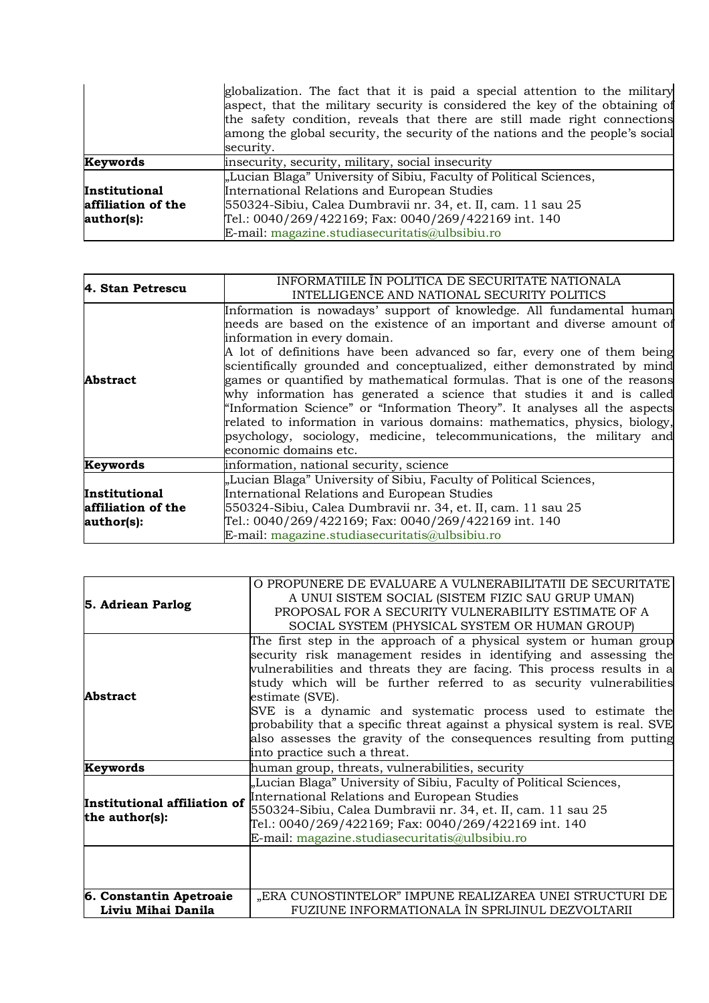|                    | globalization. The fact that it is paid a special attention to the military    |  |
|--------------------|--------------------------------------------------------------------------------|--|
|                    | aspect, that the military security is considered the key of the obtaining of   |  |
|                    | the safety condition, reveals that there are still made right connections      |  |
|                    | among the global security, the security of the nations and the people's social |  |
|                    | security.                                                                      |  |
| Keywords           | insecurity, security, military, social insecurity                              |  |
|                    | "Lucian Blaga" University of Sibiu, Faculty of Political Sciences,             |  |
| Institutional      | International Relations and European Studies                                   |  |
| affiliation of the | 550324-Sibiu, Calea Dumbravii nr. 34, et. II, cam. 11 sau 25                   |  |
| author(s):         | Tel.: 0040/269/422169; Fax: 0040/269/422169 int. 140                           |  |
|                    | $E$ -mail: magazine.studiasecuritatis@ulbsibiu.ro                              |  |

| 4. Stan Petrescu                                  | INFORMATILLE IN POLITICA DE SECURITATE NATIONALA<br>INTELLIGENCE AND NATIONAL SECURITY POLITICS                                                                                                                                                                                                                                                                                                                                                                                                                                                                                                                                                                                                                                                        |
|---------------------------------------------------|--------------------------------------------------------------------------------------------------------------------------------------------------------------------------------------------------------------------------------------------------------------------------------------------------------------------------------------------------------------------------------------------------------------------------------------------------------------------------------------------------------------------------------------------------------------------------------------------------------------------------------------------------------------------------------------------------------------------------------------------------------|
| Abstract                                          | Information is nowadays' support of knowledge. All fundamental human<br>needs are based on the existence of an important and diverse amount of<br>information in every domain.<br>A lot of definitions have been advanced so far, every one of them being<br>scientifically grounded and conceptualized, either demonstrated by mind<br>games or quantified by mathematical formulas. That is one of the reasons<br>why information has generated a science that studies it and is called<br>"Information Science" or "Information Theory". It analyses all the aspects<br>related to information in various domains: mathematics, physics, biology,<br>psychology, sociology, medicine, telecommunications, the military and<br>economic domains etc. |
| Keywords                                          | information, national security, science                                                                                                                                                                                                                                                                                                                                                                                                                                                                                                                                                                                                                                                                                                                |
| Institutional<br>affiliation of the<br>author(s): | "Lucian Blaga" University of Sibiu, Faculty of Political Sciences,<br>International Relations and European Studies<br>550324-Sibiu, Calea Dumbravii nr. 34, et. II, cam. 11 sau 25<br>Tel.: 0040/269/422169; Fax: 0040/269/422169 int. 140<br>E-mail: magazine.studiasecuritatis@ulbsibiu.ro                                                                                                                                                                                                                                                                                                                                                                                                                                                           |

|                                                | O PROPUNERE DE EVALUARE A VULNERABILITATII DE SECURITATE                                                                                                                                                                                                                                                                                                                    |
|------------------------------------------------|-----------------------------------------------------------------------------------------------------------------------------------------------------------------------------------------------------------------------------------------------------------------------------------------------------------------------------------------------------------------------------|
| 5. Adriean Parlog                              | A UNUI SISTEM SOCIAL (SISTEM FIZIC SAU GRUP UMAN)                                                                                                                                                                                                                                                                                                                           |
|                                                | PROPOSAL FOR A SECURITY VULNERABILITY ESTIMATE OF A                                                                                                                                                                                                                                                                                                                         |
|                                                | SOCIAL SYSTEM (PHYSICAL SYSTEM OR HUMAN GROUP)                                                                                                                                                                                                                                                                                                                              |
| Abstract                                       | The first step in the approach of a physical system or human group<br>security risk management resides in identifying and assessing the<br>vulnerabilities and threats they are facing. This process results in a<br>study which will be further referred to as security vulnerabilities<br>estimate (SVE).<br>SVE is a dynamic and systematic process used to estimate the |
|                                                | probability that a specific threat against a physical system is real. SVE<br>also assesses the gravity of the consequences resulting from putting<br>into practice such a threat.                                                                                                                                                                                           |
| Keywords                                       | human group, threats, vulnerabilities, security                                                                                                                                                                                                                                                                                                                             |
| Institutional affiliation of<br>the author(s): | "Lucian Blaga" University of Sibiu, Faculty of Political Sciences,<br>International Relations and European Studies<br>550324-Sibiu, Calea Dumbravii nr. 34, et. II, cam. 11 sau 25<br>Tel.: 0040/269/422169; Fax: 0040/269/422169 int. 140<br>E-mail: magazine.studiasecuritatis@ulbsibiu.ro                                                                                |
|                                                |                                                                                                                                                                                                                                                                                                                                                                             |
| 6. Constantin Apetroaie<br>Liviu Mihai Danila  | "ERA CUNOSTINTELOR" IMPUNE REALIZAREA UNEI STRUCTURI DE<br>FUZIUNE INFORMATIONALA ÎN SPRIJINUL DEZVOLTARII                                                                                                                                                                                                                                                                  |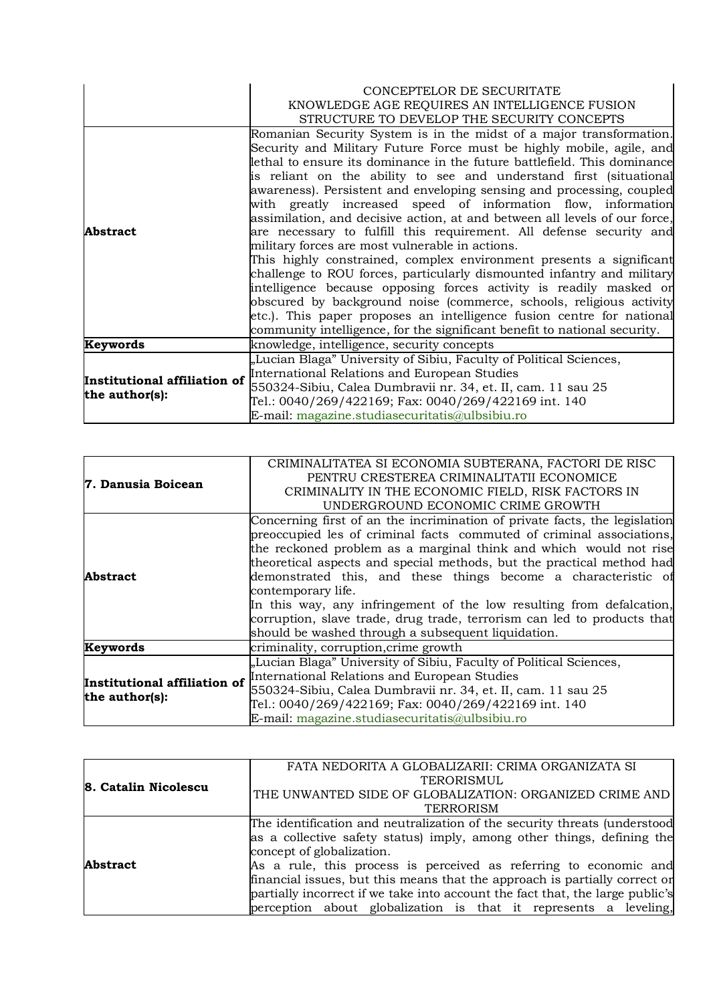|                                                | CONCEPTELOR DE SECURITATE                                                  |
|------------------------------------------------|----------------------------------------------------------------------------|
|                                                | KNOWLEDGE AGE REQUIRES AN INTELLIGENCE FUSION                              |
|                                                | STRUCTURE TO DEVELOP THE SECURITY CONCEPTS                                 |
|                                                | Romanian Security System is in the midst of a major transformation.        |
|                                                | Security and Military Future Force must be highly mobile, agile, and       |
|                                                | lethal to ensure its dominance in the future battlefield. This dominance   |
|                                                | is reliant on the ability to see and understand first (situational         |
|                                                | awareness). Persistent and enveloping sensing and processing, coupled      |
|                                                | with greatly increased speed of information flow, information              |
|                                                | assimilation, and decisive action, at and between all levels of our force, |
| <b>Abstract</b>                                | are necessary to fulfill this requirement. All defense security and        |
|                                                | military forces are most vulnerable in actions.                            |
|                                                | This highly constrained, complex environment presents a significant        |
|                                                | challenge to ROU forces, particularly dismounted infantry and military     |
|                                                | intelligence because opposing forces activity is readily masked or         |
|                                                | obscured by background noise (commerce, schools, religious activity        |
|                                                | etc.). This paper proposes an intelligence fusion centre for national      |
|                                                | community intelligence, for the significant benefit to national security.  |
| Keywords                                       | knowledge, intelligence, security concepts                                 |
| Institutional affiliation of<br>the author(s): | "Lucian Blaga" University of Sibiu, Faculty of Political Sciences,         |
|                                                | International Relations and European Studies                               |
|                                                | 550324-Sibiu, Calea Dumbravii nr. 34, et. II, cam. 11 sau 25               |
|                                                | Tel.: 0040/269/422169; Fax: 0040/269/422169 int. 140                       |
|                                                | E-mail: magazine.studiasecuritatis@ulbsibiu.ro                             |

| 7. Danusia Boicean                             | CRIMINALITATEA SI ECONOMIA SUBTERANA, FACTORI DE RISC<br>PENTRU CRESTEREA CRIMINALITATII ECONOMICE<br>CRIMINALITY IN THE ECONOMIC FIELD, RISK FACTORS IN<br>UNDERGROUND ECONOMIC CRIME GROWTH                                                                                                                                                                                                                                                                                                                                                                                                     |
|------------------------------------------------|---------------------------------------------------------------------------------------------------------------------------------------------------------------------------------------------------------------------------------------------------------------------------------------------------------------------------------------------------------------------------------------------------------------------------------------------------------------------------------------------------------------------------------------------------------------------------------------------------|
| Abstract                                       | Concerning first of an the incrimination of private facts, the legislation<br>preoccupied les of criminal facts commuted of criminal associations,<br>the reckoned problem as a marginal think and which would not rise<br>theoretical aspects and special methods, but the practical method had<br>demonstrated this, and these things become a characteristic of<br>contemporary life.<br>In this way, any infringement of the low resulting from defalcation,<br>corruption, slave trade, drug trade, terrorism can led to products that<br>should be washed through a subsequent liquidation. |
| Keywords                                       | criminality, corruption, crime growth                                                                                                                                                                                                                                                                                                                                                                                                                                                                                                                                                             |
| Institutional affiliation of<br>the author(s): | "Lucian Blaga" University of Sibiu, Faculty of Political Sciences,<br>International Relations and European Studies<br>550324-Sibiu, Calea Dumbravii nr. 34, et. II, cam. 11 sau 25<br>Tel.: 0040/269/422169; Fax: 0040/269/422169 int. 140<br>$E$ -mail: magazine.studiasecuritatis@ulbsibiu.ro                                                                                                                                                                                                                                                                                                   |

|                      | FATA NEDORITA A GLOBALIZARII: CRIMA ORGANIZATA SI                             |
|----------------------|-------------------------------------------------------------------------------|
| 8. Catalin Nicolescu | <b>TERORISMUL</b>                                                             |
|                      | THE UNWANTED SIDE OF GLOBALIZATION: ORGANIZED CRIME AND                       |
|                      | TERRORISM                                                                     |
|                      | The identification and neutralization of the security threats (understood     |
|                      | as a collective safety status) imply, among other things, defining the        |
|                      | concept of globalization.                                                     |
| <b>Abstract</b>      | As a rule, this process is perceived as referring to economic and             |
|                      | financial issues, but this means that the approach is partially correct or    |
|                      | partially incorrect if we take into account the fact that, the large public's |
|                      | perception about globalization is that it represents a leveling,              |